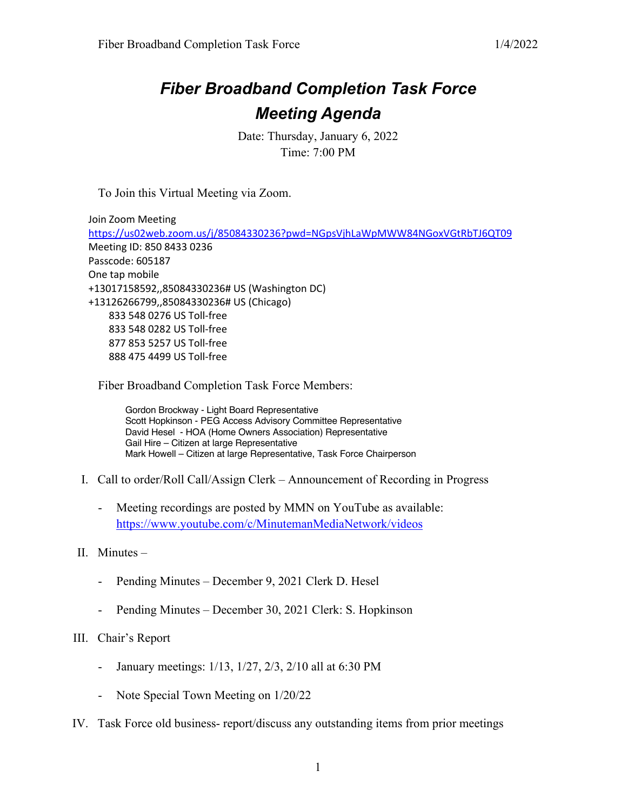## *Fiber Broadband Completion Task Force Meeting Agenda*

Date: Thursday, January 6, 2022 Time: 7:00 PM

To Join this Virtual Meeting via Zoom.

Join Zoom Meeting https://us02web.zoom.us/j/85084330236?pwd=NGpsVjhLaWpMWW84NGoxVGtRbTJ6QT09 Meeting ID: 850 8433 0236 Passcode: 605187 One tap mobile +13017158592,,85084330236# US (Washington DC) +13126266799,,85084330236# US (Chicago) 833 548 0276 US Toll-free 833 548 0282 US Toll-free 877 853 5257 US Toll-free 888 475 4499 US Toll-free

Fiber Broadband Completion Task Force Members:

Gordon Brockway - Light Board Representative Scott Hopkinson - PEG Access Advisory Committee Representative David Hesel - HOA (Home Owners Association) Representative Gail Hire – Citizen at large Representative Mark Howell – Citizen at large Representative, Task Force Chairperson

- I. Call to order/Roll Call/Assign Clerk Announcement of Recording in Progress
	- Meeting recordings are posted by MMN on YouTube as available: https://www.youtube.com/c/MinutemanMediaNetwork/videos
- II. Minutes
	- Pending Minutes December 9, 2021 Clerk D. Hesel
	- Pending Minutes December 30, 2021 Clerk: S. Hopkinson

## III. Chair's Report

- January meetings: 1/13, 1/27, 2/3, 2/10 all at 6:30 PM
- Note Special Town Meeting on 1/20/22
- IV. Task Force old business- report/discuss any outstanding items from prior meetings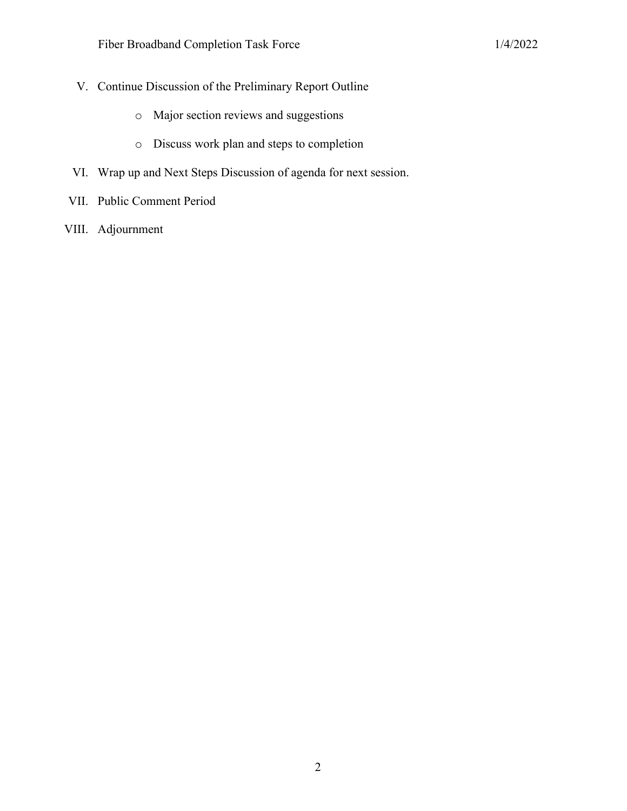- V. Continue Discussion of the Preliminary Report Outline
	- o Major section reviews and suggestions
	- o Discuss work plan and steps to completion
- VI. Wrap up and Next Steps Discussion of agenda for next session.
- VII. Public Comment Period
- VIII. Adjournment